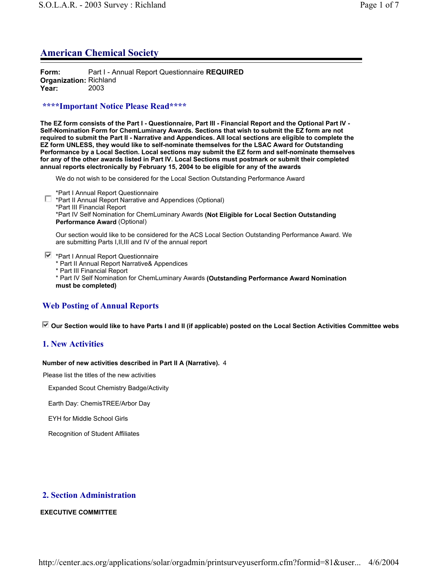# **American Chemical Society**

**Form:** Part I - Annual Report Questionnaire **REQUIRED Organization:** Richland **Year:** 2003

## **\*\*\*\*Important Notice Please Read\*\*\*\***

**The EZ form consists of the Part I - Questionnaire, Part III - Financial Report and the Optional Part IV - Self-Nomination Form for ChemLuminary Awards. Sections that wish to submit the EZ form are not required to submit the Part II - Narrative and Appendices. All local sections are eligible to complete the EZ form UNLESS, they would like to self-nominate themselves for the LSAC Award for Outstanding Performance by a Local Section. Local sections may submit the EZ form and self-nominate themselves for any of the other awards listed in Part IV. Local Sections must postmark or submit their completed annual reports electronically by February 15, 2004 to be eligible for any of the awards**

We do not wish to be considered for the Local Section Outstanding Performance Award

\*Part I Annual Report Questionnaire

\*Part II Annual Report Narrative and Appendices (Optional) \*Part III Financial Report \*Part IV Self Nomination for ChemLuminary Awards **(Not Eligible for Local Section Outstanding Performance Award** (Optional)

Our section would like to be considered for the ACS Local Section Outstanding Performance Award. We are submitting Parts I,II,III and IV of the annual report

**■ \*Part I Annual Report Questionnaire** 

\* Part II Annual Report Narrative& Appendices

\* Part III Financial Report

\* Part IV Self Nomination for ChemLuminary Awards **(Outstanding Performance Award Nomination must be completed)**

# **Web Posting of Annual Reports**

 **Our Section would like to have Parts I and II (if applicable) posted on the Local Section Activities Committee webs**

## **1. New Activities**

#### **Number of new activities described in Part II A (Narrative).** 4

Please list the titles of the new activities

Expanded Scout Chemistry Badge/Activity

Earth Day: ChemisTREE/Arbor Day

EYH for Middle School Girls

Recognition of Student Affiliates

## **2. Section Administration**

#### **EXECUTIVE COMMITTEE**

http://center.acs.org/applications/solar/orgadmin/printsurveyuserform.cfm?formid=81&user... 4/6/2004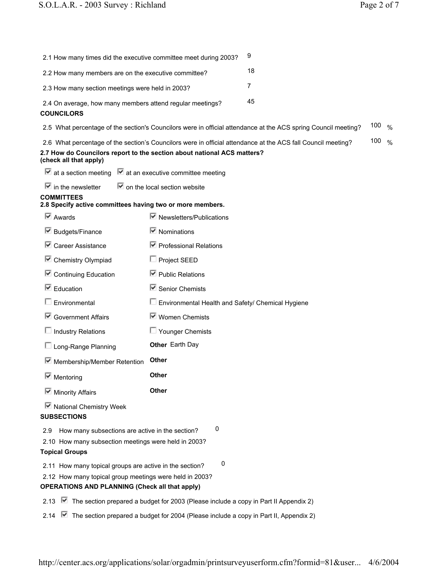| 2.1 How many times did the executive committee meet during 2003?                                                                                                            |                                                                                                      | 9                                                                                                              |     |               |
|-----------------------------------------------------------------------------------------------------------------------------------------------------------------------------|------------------------------------------------------------------------------------------------------|----------------------------------------------------------------------------------------------------------------|-----|---------------|
| 2.2 How many members are on the executive committee?                                                                                                                        |                                                                                                      | 18                                                                                                             |     |               |
| 2.3 How many section meetings were held in 2003?                                                                                                                            |                                                                                                      | $\overline{7}$                                                                                                 |     |               |
| 2.4 On average, how many members attend regular meetings?<br><b>COUNCILORS</b>                                                                                              |                                                                                                      | 45                                                                                                             |     |               |
|                                                                                                                                                                             |                                                                                                      | 2.5 What percentage of the section's Councilors were in official attendance at the ACS spring Council meeting? | 100 | $\%$          |
| 2.7 How do Councilors report to the section about national ACS matters?<br>(check all that apply)                                                                           |                                                                                                      | 2.6 What percentage of the section's Councilors were in official attendance at the ACS fall Council meeting?   | 100 | $\frac{0}{0}$ |
| $\blacksquare$ at a section meeting $\blacksquare$ at an executive committee meeting                                                                                        |                                                                                                      |                                                                                                                |     |               |
| $\blacksquare$ in the newsletter                                                                                                                                            | $\blacksquare$ on the local section website                                                          |                                                                                                                |     |               |
| <b>COMMITTEES</b><br>2.8 Specify active committees having two or more members.                                                                                              |                                                                                                      |                                                                                                                |     |               |
| $\overline{\triangleright}$ Awards                                                                                                                                          | $\blacksquare$ Newsletters/Publications                                                              |                                                                                                                |     |               |
| $\blacksquare$ Budgets/Finance                                                                                                                                              | $\blacksquare$ Nominations                                                                           |                                                                                                                |     |               |
| $\blacksquare$ Career Assistance                                                                                                                                            | $\triangleright$ Professional Relations                                                              |                                                                                                                |     |               |
| □ Chemistry Olympiad                                                                                                                                                        | $\Box$ Project SEED                                                                                  |                                                                                                                |     |               |
| □ Continuing Education                                                                                                                                                      | $\boxdot$ Public Relations                                                                           |                                                                                                                |     |               |
| $\blacksquare$ Education                                                                                                                                                    | $\blacksquare$ Senior Chemists                                                                       |                                                                                                                |     |               |
| Environmental                                                                                                                                                               | $\Box$ Environmental Health and Safety/ Chemical Hygiene                                             |                                                                                                                |     |               |
| Government Affairs                                                                                                                                                          | $\blacksquare$ Women Chemists                                                                        |                                                                                                                |     |               |
| $\Box$ Industry Relations                                                                                                                                                   | $\Box$ Younger Chemists                                                                              |                                                                                                                |     |               |
| $\Box$ Long-Range Planning                                                                                                                                                  | Other Earth Day                                                                                      |                                                                                                                |     |               |
| Membership/Member Retention                                                                                                                                                 | <b>Other</b>                                                                                         |                                                                                                                |     |               |
| $\blacksquare$ Mentoring                                                                                                                                                    | Other                                                                                                |                                                                                                                |     |               |
| $\blacksquare$ Minority Affairs                                                                                                                                             | <b>Other</b>                                                                                         |                                                                                                                |     |               |
| ■ National Chemistry Week<br><b>SUBSECTIONS</b>                                                                                                                             |                                                                                                      |                                                                                                                |     |               |
| How many subsections are active in the section?<br>2.9<br>2.10 How many subsection meetings were held in 2003?<br><b>Topical Groups</b>                                     | 0                                                                                                    |                                                                                                                |     |               |
| 2.11 How many topical groups are active in the section?<br>2.12 How many topical group meetings were held in 2003?<br><b>OPERATIONS AND PLANNING (Check all that apply)</b> | 0                                                                                                    |                                                                                                                |     |               |
| 2.13                                                                                                                                                                        | $\blacksquare$ The section prepared a budget for 2003 (Please include a copy in Part II Appendix 2)  |                                                                                                                |     |               |
| 2.14                                                                                                                                                                        | $\blacksquare$ The section prepared a budget for 2004 (Please include a copy in Part II, Appendix 2) |                                                                                                                |     |               |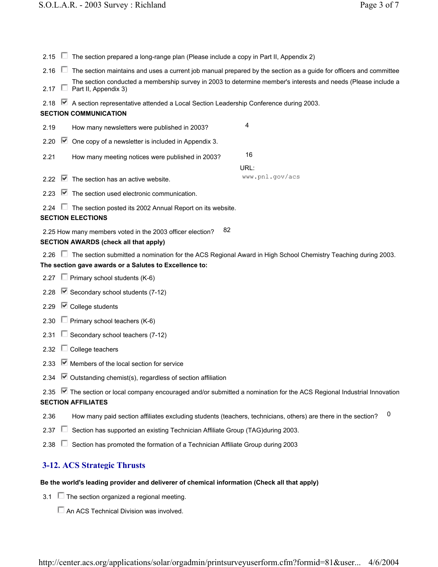| $2.15$ $\Box$ |                                                                                      | The section prepared a long-range plan (Please include a copy in Part II, Appendix 2)                                                                                         |                 |  |
|---------------|--------------------------------------------------------------------------------------|-------------------------------------------------------------------------------------------------------------------------------------------------------------------------------|-----------------|--|
| $2.16$ $\Box$ |                                                                                      | The section maintains and uses a current job manual prepared by the section as a guide for officers and committee                                                             |                 |  |
| 2.17 $\Box$   |                                                                                      | The section conducted a membership survey in 2003 to determine member's interests and needs (Please include a<br>Part II, Appendix 3)                                         |                 |  |
| 2.18          |                                                                                      | ■ A section representative attended a Local Section Leadership Conference during 2003.                                                                                        |                 |  |
|               |                                                                                      | <b>SECTION COMMUNICATION</b>                                                                                                                                                  |                 |  |
| 2.19          |                                                                                      | 4<br>How many newsletters were published in 2003?                                                                                                                             |                 |  |
| 2.20          |                                                                                      | $\blacksquare$ One copy of a newsletter is included in Appendix 3.                                                                                                            |                 |  |
| 2.21          |                                                                                      | 16<br>How many meeting notices were published in 2003?                                                                                                                        |                 |  |
|               |                                                                                      | URL:                                                                                                                                                                          |                 |  |
| 2.22          |                                                                                      | $\blacksquare$ The section has an active website.                                                                                                                             | www.pnl.gov/acs |  |
| 2.23          |                                                                                      | $\blacksquare$ The section used electronic communication.                                                                                                                     |                 |  |
| $2.24$ $\Box$ |                                                                                      | The section posted its 2002 Annual Report on its website.                                                                                                                     |                 |  |
|               |                                                                                      | <b>SECTION ELECTIONS</b>                                                                                                                                                      |                 |  |
|               |                                                                                      | 82<br>2.25 How many members voted in the 2003 officer election?                                                                                                               |                 |  |
|               |                                                                                      | <b>SECTION AWARDS (check all that apply)</b>                                                                                                                                  |                 |  |
|               |                                                                                      | 2.26 □ The section submitted a nomination for the ACS Regional Award in High School Chemistry Teaching during 2003.<br>The section gave awards or a Salutes to Excellence to: |                 |  |
| 2.27          |                                                                                      | $\Box$ Primary school students (K-6)                                                                                                                                          |                 |  |
| 2.28          |                                                                                      | $\blacktriangleright$ Secondary school students (7-12)                                                                                                                        |                 |  |
| 2.29          |                                                                                      | $\blacksquare$ College students                                                                                                                                               |                 |  |
| 2.30          |                                                                                      | $\Box$ Primary school teachers (K-6)                                                                                                                                          |                 |  |
| 2.31          |                                                                                      | $\Box$ Secondary school teachers (7-12)                                                                                                                                       |                 |  |
| 2.32          |                                                                                      | $\Box$ College teachers                                                                                                                                                       |                 |  |
| 2.33          |                                                                                      | $\blacksquare$ Members of the local section for service                                                                                                                       |                 |  |
|               |                                                                                      | 2.34 ◯ Outstanding chemist(s), regardless of section affiliation                                                                                                              |                 |  |
|               |                                                                                      | 2.35 <b>■</b> The section or local company encouraged and/or submitted a nomination for the ACS Regional Industrial Innovation                                                |                 |  |
|               |                                                                                      | <b>SECTION AFFILIATES</b>                                                                                                                                                     |                 |  |
| 2.36          |                                                                                      | How many paid section affiliates excluding students (teachers, technicians, others) are there in the section?                                                                 | 0               |  |
| 2.37          | Section has supported an existing Technician Affiliate Group (TAG) during 2003.<br>U |                                                                                                                                                                               |                 |  |
| 2.38          |                                                                                      | Section has promoted the formation of a Technician Affiliate Group during 2003                                                                                                |                 |  |
|               |                                                                                      | <b>3-12. ACS Strategic Thrusts</b>                                                                                                                                            |                 |  |

# **Be the world's leading provider and deliverer of chemical information (Check all that apply)**

- 3.1  $\Box$  The section organized a regional meeting.
	- An ACS Technical Division was involved.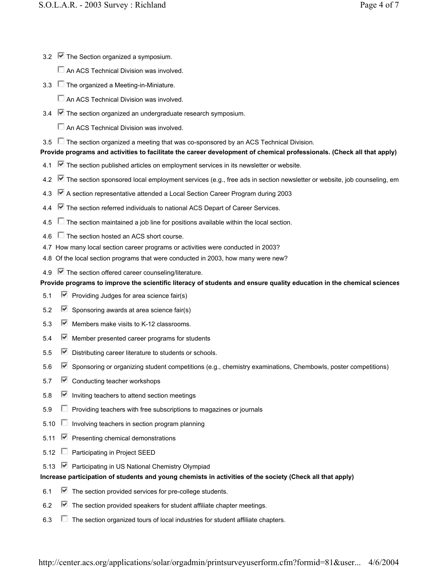- 3.2  $\triangledown$  The Section organized a symposium.
	- An ACS Technical Division was involved.
- 3.3  $\Box$  The organized a Meeting-in-Miniature.
	- An ACS Technical Division was involved.
- 3.4  $\blacktriangleright$  The section organized an undergraduate research symposium.
	- An ACS Technical Division was involved.
- 3.5  $\Box$  The section organized a meeting that was co-sponsored by an ACS Technical Division.

# **Provide programs and activities to facilitate the career development of chemical professionals. (Check all that apply)**

- 4.1  $\blacktriangleright$  The section published articles on employment services in its newsletter or website.
- 4.2 The section sponsored local employment services (e.g., free ads in section newsletter or website, job counseling, em
- 4.3 A section representative attended a Local Section Career Program during 2003
- 4.4  $\blacksquare$  The section referred individuals to national ACS Depart of Career Services.
- 4.5  $\Box$  The section maintained a job line for positions available within the local section.
- 4.6 The section hosted an ACS short course.
- 4.7 How many local section career programs or activities were conducted in 2003?
- 4.8 Of the local section programs that were conducted in 2003, how many were new?
- 4.9  $\blacksquare$  The section offered career counseling/literature.

# **Provide programs to improve the scientific literacy of students and ensure quality education in the chemical sciences**

- 5.1  $\blacktriangleright$  Providing Judges for area science fair(s)
- 5.2  $\blacktriangleright$  Sponsoring awards at area science fair(s)
- 5.3 Members make visits to K-12 classrooms.
- $5.4 \quad \triangleright$  Member presented career programs for students
- 5.5 Distributing career literature to students or schools.
- 5.6 **S** Sponsoring or organizing student competitions (e.g., chemistry examinations, Chembowls, poster competitions)
- 5.7 **■** Conducting teacher workshops
- 5.8  $\triangleright$  Inviting teachers to attend section meetings
- $5.9$  Providing teachers with free subscriptions to magazines or journals
- $5.10$  Involving teachers in section program planning
- 5.11  $\triangledown$  Presenting chemical demonstrations
- 5.12 □ Participating in Project SEED
- 5.13 **■** Participating in US National Chemistry Olympiad

# **Increase participation of students and young chemists in activities of the society (Check all that apply)**

- 6.1  $\blacksquare$  The section provided services for pre-college students.
- 6.2  $\blacktriangleright$  The section provided speakers for student affiliate chapter meetings.
- 6.3  $\Box$  The section organized tours of local industries for student affiliate chapters.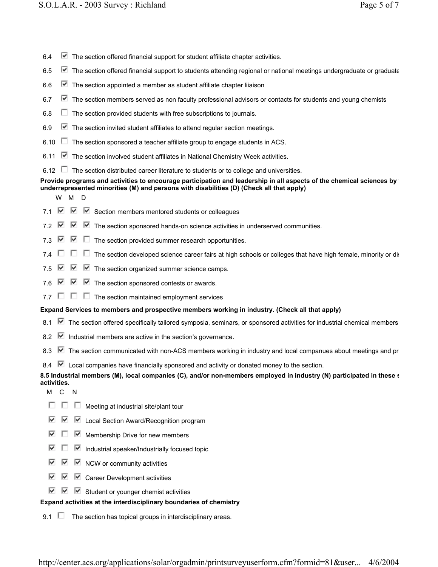| $\triangleright$ The section offered financial support for student affiliate chapter activities.<br>6.4                                                                                                          |
|------------------------------------------------------------------------------------------------------------------------------------------------------------------------------------------------------------------|
| $\blacktriangleright$ The section offered financial support to students attending regional or national meetings undergraduate or graduate<br>6.5                                                                 |
| $\blacksquare$ The section appointed a member as student affiliate chapter liiaison<br>6.6                                                                                                                       |
| $\blacktriangleright$ The section members served as non faculty professional advisors or contacts for students and young chemists<br>6.7                                                                         |
| The section provided students with free subscriptions to journals.<br>6.8                                                                                                                                        |
| $\blacksquare$ The section invited student affiliates to attend regular section meetings.<br>6.9                                                                                                                 |
| 6.10<br>The section sponsored a teacher affiliate group to engage students in ACS.                                                                                                                               |
| $\blacksquare$ The section involved student affiliates in National Chemistry Week activities.<br>6.11                                                                                                            |
| The section distributed career literature to students or to college and universities.<br>6.12                                                                                                                    |
| Provide programs and activities to encourage participation and leadership in all aspects of the chemical sciences by<br>underrepresented minorities (M) and persons with disabilities (D) (Check all that apply) |
| W<br>м<br>D                                                                                                                                                                                                      |
| ⊵<br>M<br>$\triangleright$ Section members mentored students or colleagues<br>7.1                                                                                                                                |
| ▽<br>☑<br>$\blacksquare$ The section sponsored hands-on science activities in underserved communities.<br>7.2                                                                                                    |
| ⊮<br>↜<br>The section provided summer research opportunities.<br>$\mathbf{L}$<br>7.3                                                                                                                             |
| U<br>The section developed science career fairs at high schools or colleges that have high female, minority or dis<br>7.4                                                                                        |
| M<br>M<br>$\triangleright$ The section organized summer science camps.<br>7.5                                                                                                                                    |
| ₩<br>$\blacksquare$ The section sponsored contests or awards.<br>⊮<br>7.6                                                                                                                                        |
| $\mathbf{L}$<br>$\Box$<br>The section maintained employment services<br>77                                                                                                                                       |
| Expand Services to members and prospective members working in industry. (Check all that apply)                                                                                                                   |
| The section offered specifically tailored symposia, seminars, or sponsored activities for industrial chemical members.<br>8.1                                                                                    |
| Industrial members are active in the section's governance.<br>8.2                                                                                                                                                |
| 8.3<br>The section communicated with non-ACS members working in industry and local companues about meetings and print                                                                                            |
| ⊮<br>Local companies have financially sponsored and activity or donated money to the section.<br>8.4                                                                                                             |
| 8.5 Industrial members (M), local companies (C), and/or non-members employed in industry (N) participated in these s<br>activities.                                                                              |
| $\mathsf{C}$<br>м<br>N                                                                                                                                                                                           |
| Meeting at industrial site/plant tour                                                                                                                                                                            |
| ⊽<br>⊮<br>Local Section Award/Recognition program<br><u>м.</u>                                                                                                                                                   |
| ⊮<br>1⊬<br>Membership Drive for new members                                                                                                                                                                      |
| 1⊬<br>M<br>Industrial speaker/Industrially focused topic                                                                                                                                                         |
| ☞<br>⊮<br>M<br>NCW or community activities                                                                                                                                                                       |
| ☞<br>⊮<br>M<br><b>Career Development activities</b>                                                                                                                                                              |
| ⊵<br>Student or younger chemist activities                                                                                                                                                                       |
| Expand activities at the interdisciplinary boundaries of chemistry                                                                                                                                               |
| The section has topical groups in interdisciplinary areas.<br>9.1                                                                                                                                                |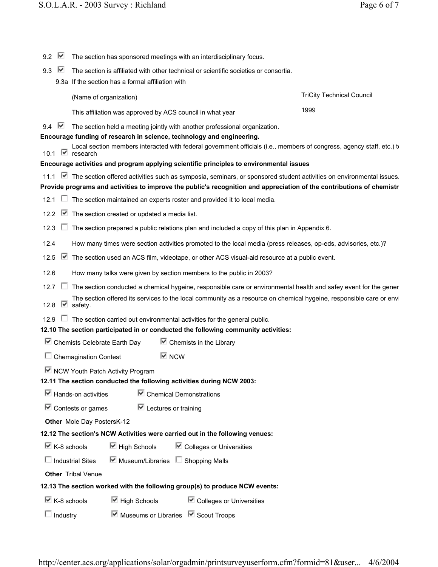| 9.2                                                                          | ⊮                                                                                                                                           | The section has sponsored meetings with an interdisciplinary focus.                                                                      |                                  |
|------------------------------------------------------------------------------|---------------------------------------------------------------------------------------------------------------------------------------------|------------------------------------------------------------------------------------------------------------------------------------------|----------------------------------|
| 9.3                                                                          | M                                                                                                                                           | The section is affiliated with other technical or scientific societies or consortia.                                                     |                                  |
|                                                                              |                                                                                                                                             | 9.3a If the section has a formal affiliation with                                                                                        |                                  |
|                                                                              |                                                                                                                                             | (Name of organization)                                                                                                                   | <b>TriCity Technical Council</b> |
|                                                                              |                                                                                                                                             | This affiliation was approved by ACS council in what year                                                                                | 1999                             |
| 9.4                                                                          | M                                                                                                                                           | The section held a meeting jointly with another professional organization.                                                               |                                  |
|                                                                              |                                                                                                                                             | Encourage funding of research in science, technology and engineering.                                                                    |                                  |
|                                                                              |                                                                                                                                             | Local section members interacted with federal government officials (i.e., members of congress, agency staff, etc.) to<br>10.1 Ø research |                                  |
|                                                                              |                                                                                                                                             | Encourage activities and program applying scientific principles to environmental issues                                                  |                                  |
|                                                                              |                                                                                                                                             | 11.1 ■ The section offered activities such as symposia, seminars, or sponsored student activities on environmental issues.               |                                  |
|                                                                              |                                                                                                                                             | Provide programs and activities to improve the public's recognition and appreciation of the contributions of chemistr                    |                                  |
| 12.1                                                                         |                                                                                                                                             | $\Box$ The section maintained an experts roster and provided it to local media.                                                          |                                  |
| 12.2                                                                         |                                                                                                                                             | $\blacksquare$ The section created or updated a media list.                                                                              |                                  |
| 12.3                                                                         | ш                                                                                                                                           | The section prepared a public relations plan and included a copy of this plan in Appendix 6.                                             |                                  |
| 12.4                                                                         |                                                                                                                                             | How many times were section activities promoted to the local media (press releases, op-eds, advisories, etc.)?                           |                                  |
| 12.5                                                                         | ⊵                                                                                                                                           | The section used an ACS film, videotape, or other ACS visual-aid resource at a public event.                                             |                                  |
| 12.6                                                                         |                                                                                                                                             | How many talks were given by section members to the public in 2003?                                                                      |                                  |
|                                                                              | 12.7 $\Box$                                                                                                                                 | The section conducted a chemical hygeine, responsible care or environmental health and safey event for the gener                         |                                  |
|                                                                              | The section offered its services to the local community as a resource on chemical hygeine, responsible care or envi<br>M<br>12.8<br>safety. |                                                                                                                                          |                                  |
| 12.9                                                                         |                                                                                                                                             | $\Box$ The section carried out environmental activities for the general public.                                                          |                                  |
|                                                                              |                                                                                                                                             | 12.10 The section participated in or conducted the following community activities:                                                       |                                  |
|                                                                              |                                                                                                                                             | Chemists Celebrate Earth Day<br>$\blacksquare$ Chemists in the Library                                                                   |                                  |
|                                                                              |                                                                                                                                             | $\overline{\triangledown}$ NCW<br>$\Box$ Chemagination Contest                                                                           |                                  |
|                                                                              |                                                                                                                                             | ■ NCW Youth Patch Activity Program                                                                                                       |                                  |
|                                                                              |                                                                                                                                             | 12.11 The section conducted the following activities during NCW 2003:                                                                    |                                  |
|                                                                              |                                                                                                                                             | $\overline{\mathbf{M}}$ Hands-on activities<br>$\blacksquare$ Chemical Demonstrations                                                    |                                  |
|                                                                              |                                                                                                                                             | $\overline{\mathbb{F}}$ Contests or games<br>$\overline{\mathbf{M}}$ Lectures or training                                                |                                  |
|                                                                              |                                                                                                                                             | Other Mole Day PostersK-12                                                                                                               |                                  |
| 12.12 The section's NCW Activities were carried out in the following venues: |                                                                                                                                             |                                                                                                                                          |                                  |
|                                                                              | $\overline{\boxtimes}$ K-8 schools                                                                                                          | $\boxdot$ High Schools<br>$\blacksquare$ Colleges or Universities                                                                        |                                  |
|                                                                              |                                                                                                                                             | $\triangleright$ Museum/Libraries $\square$ Shopping Malls<br>$\Box$ Industrial Sites                                                    |                                  |
|                                                                              |                                                                                                                                             | <b>Other</b> Tribal Venue                                                                                                                |                                  |
| 12.13 The section worked with the following group(s) to produce NCW events:  |                                                                                                                                             |                                                                                                                                          |                                  |
|                                                                              | $\overline{\mathbb{M}}$ K-8 schools                                                                                                         | $\boxdot$ High Schools<br>$\blacksquare$ Colleges or Universities                                                                        |                                  |
|                                                                              | $\Box$ Industry                                                                                                                             | $\overline{\mathbf{v}}$ Museums or Libraries $\overline{\mathbf{v}}$ Scout Troops                                                        |                                  |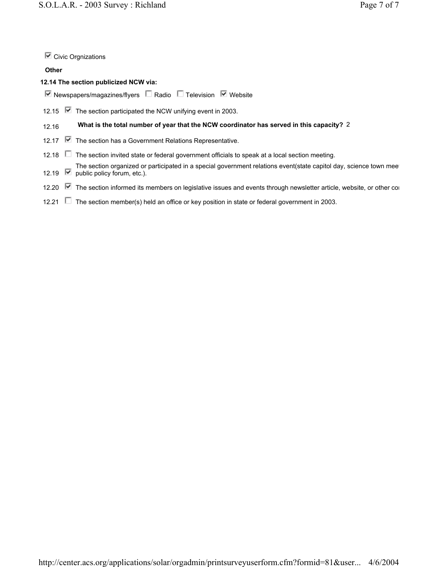$\overline{\mathbb{C}}$  Civic Orgnizations

### **Other**

## **12.14 The section publicized NCW via:**

- $\overline{\mathsf{v}}$  Newspapers/magazines/flyers  $\Box$  Radio  $\Box$  Television  $\overline{\mathsf{v}}$  Website
- 12.15  $\triangleright$  The section participated the NCW unifying event in 2003.

# 12.16 **What is the total number of year that the NCW coordinator has served in this capacity?** 2

- 12.17 **■** The section has a Government Relations Representative.
- 12.18 The section invited state or federal government officials to speak at a local section meeting.
- 12.19 M The section organized or participated in a special government relations event(state capitol day, science town mee public policy forum, etc.).
- 12.20 The section informed its members on legislative issues and events through newsletter article, website, or other com
- 12.21  $\Box$  The section member(s) held an office or key position in state or federal government in 2003.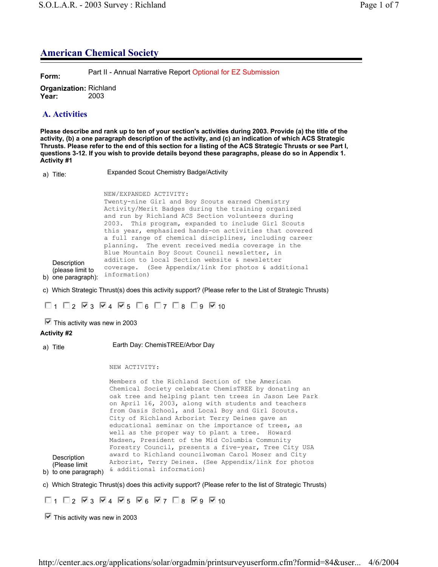# **American Chemical Society**

**Form:** Part II - Annual Narrative Report Optional for EZ Submission

**Organization:** Richland **Year:** 2003

# **A. Activities**

**Please describe and rank up to ten of your section's activities during 2003. Provide (a) the title of the activity, (b) a one paragraph description of the activity, and (c) an indication of which ACS Strategic Thrusts. Please refer to the end of this section for a listing of the ACS Strategic Thrusts or see Part I, questions 3-12. If you wish to provide details beyond these paragraphs, please do so in Appendix 1. Activity #1**

a) Title: Expanded Scout Chemistry Badge/Activity

b) one paragraph): **Description** (please limit to NEW/EXPANDED ACTIVITY: Twenty-nine Girl and Boy Scouts earned Chemistry Activity/Merit Badges during the training organized and run by Richland ACS Section volunteers during 2003. This program, expanded to include Girl Scouts this year, emphasized hands-on activities that covered a full range of chemical disciplines, including career planning. The event received media coverage in the Blue Mountain Boy Scout Council newsletter, in addition to local Section website & newsletter coverage. (See Appendix/link for photos & additional information)

c) Which Strategic Thrust(s) does this activity support? (Please refer to the List of Strategic Thrusts)

 $\Box$  1  $\Box$  2  $\Box$  3  $\Box$  4  $\Box$  5  $\Box$  6  $\Box$  7  $\Box$  8  $\Box$  9  $\Box$  10

 $\blacktriangleright$  This activity was new in 2003

## **Activity #2**

a) Title Earth Day: ChemisTREE/Arbor Day

NEW ACTIVITY:

b) to one paragraph) **Description** (Please limit Members of the Richland Section of the American Chemical Society celebrate ChemisTREE by donating an oak tree and helping plant ten trees in Jason Lee Park on April 16, 2003, along with students and teachers from Oasis School, and Local Boy and Girl Scouts. City of Richland Arborist Terry Deines gave an educational seminar on the importance of trees, as well as the proper way to plant a tree. Howard Madsen, President of the Mid Columbia Community Forestry Council, presents a five-year, Tree City USA award to Richland councilwoman Carol Moser and City Arborist, Terry Deines. (See Appendix/link for photos & additional information)

c) Which Strategic Thrust(s) does this activity support? (Please refer to the list of Strategic Thrusts)

 $\Box$ 1  $\Box$ 2  $\Box$ 3  $\Box$ 4  $\Box$ 5  $\Box$ 6  $\Box$ 7  $\Box$ 8  $\Box$ 9  $\Box$ 10

 $\blacksquare$  This activity was new in 2003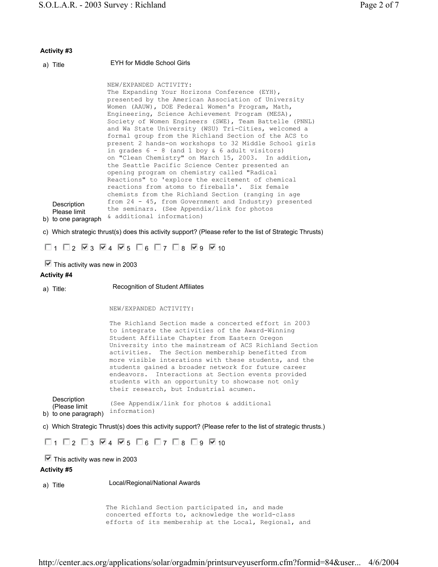#### **Activity #3**

| a) Title                                                                                                 | EYH for Middle School Girls                                                                                                                                                                                                                                                                                                                                                                                                                                                                                                                                                                                                                                                                                                                                                                                                                                                                                                                                                                    |
|----------------------------------------------------------------------------------------------------------|------------------------------------------------------------------------------------------------------------------------------------------------------------------------------------------------------------------------------------------------------------------------------------------------------------------------------------------------------------------------------------------------------------------------------------------------------------------------------------------------------------------------------------------------------------------------------------------------------------------------------------------------------------------------------------------------------------------------------------------------------------------------------------------------------------------------------------------------------------------------------------------------------------------------------------------------------------------------------------------------|
| Description<br>Please limit<br>b) to one paragraph                                                       | NEW/EXPANDED ACTIVITY:<br>The Expanding Your Horizons Conference (EYH),<br>presented by the American Association of University<br>Women (AAUW), DOE Federal Women's Program, Math,<br>Engineering, Science Achievement Program (MESA),<br>Society of Women Engineers (SWE), Team Battelle (PNNL)<br>and Wa State University (WSU) Tri-Cities, welcomed a<br>formal group from the Richland Section of the ACS to<br>present 2 hands-on workshops to 32 Middle School girls<br>in grades $6 - 8$ (and 1 boy & 6 adult visitors)<br>on "Clean Chemistry" on March 15, 2003. In addition,<br>the Seattle Pacific Science Center presented an<br>opening program on chemistry called "Radical<br>Reactions" to 'explore the excitement of chemical<br>reactions from atoms to fireballs'. Six female<br>chemists from the Richland Section (ranging in age<br>from $24 - 45$ , from Government and Industry) presented<br>the seminars. (See Appendix/link for photos<br>& additional information) |
| c) Which strategic thrust(s) does this activity support? (Please refer to the list of Strategic Thrusts) |                                                                                                                                                                                                                                                                                                                                                                                                                                                                                                                                                                                                                                                                                                                                                                                                                                                                                                                                                                                                |

 $\Box$ 1  $\Box$ 2  $\boxtimes$ 3  $\boxtimes$ 4  $\boxtimes$ 5  $\Box$ 6  $\Box$ 7  $\Box$ 8  $\boxtimes$ 9  $\boxtimes$ 10

 $\blacksquare$  This activity was new in 2003

#### **Activity #4**

a) Title: Recognition of Student Affiliates

NEW/EXPANDED ACTIVITY:

The Richland Section made a concerted effort in 2003 to integrate the activities of the Award-Winning Student Affiliate Chapter from Eastern Oregon University into the mainstream of ACS Richland Section activities. The Section membership benefitted from more visible interations with these students, and the students gained a broader network for future career endeavors. Interactions at Section events provided students with an opportunity to showcase not only their research, but Industrial acumen.

b) to one paragraph) information) Description (Please limit (See Appendix/link for photos & additional

c) Which Strategic Thrust(s) does this activity support? (Please refer to the list of strategic thrusts.)

 $\Box$ 1  $\Box$ 2  $\Box$ 3  $\Box$ 4  $\Box$ 5  $\Box$ 6  $\Box$ 7  $\Box$ 8  $\Box$ 9  $\Box$ 10

 $\blacksquare$  This activity was new in 2003

#### **Activity #5**

a) Title Local/Regional/National Awards

The Richland Section participated in, and made concerted efforts to, acknowledge the world-class efforts of its membership at the Local, Regional, and

http://center.acs.org/applications/solar/orgadmin/printsurveyuserform.cfm?formid=84&user... 4/6/2004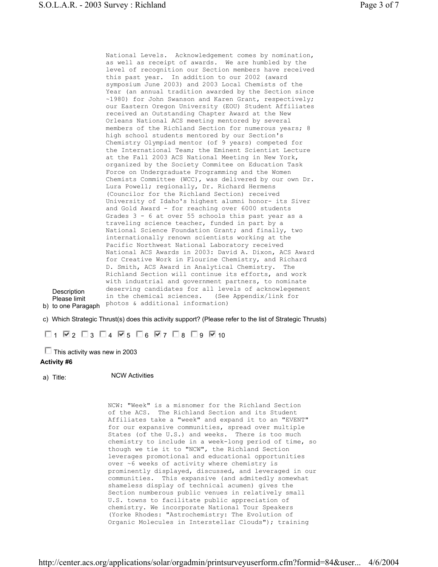**b) to one Paragaph** photos & additional information) National Levels. Acknowledgement comes by nomination, as well as receipt of awards. We are humbled by the level of recognition our Section members have received this past year. In addition to our 2002 (award symposium June 2003) and 2003 Local Chemists of the Year (an annual tradition awarded by the Section since ~1980) for John Swanson and Karen Grant, respectively; our Eastern Oregon University (EOU) Student Affiliates received an Outstanding Chapter Award at the New Orleans National ACS meeting mentored by several members of the Richland Section for numerous years; 8 high school students mentored by our Section's Chemistry Olympiad mentor (of 9 years) competed for the International Team; the Eminent Scientist Lecture at the Fall 2003 ACS National Meeting in New York, organized by the Society Commitee on Education Task Force on Undergraduate Programming and the Women Chemists Committee (WCC), was delivered by our own Dr. Lura Powell; regionally, Dr. Richard Hermens (Councilor for the Richland Section) received University of Idaho's highest alumni honor- its Siver and Gold Award - for reaching over 6000 students Grades 3 - 6 at over 55 schools this past year as a traveling science teacher, funded in part by a National Science Foundation Grant; and finally, two internationally renown scientists working at the Pacific Northwest National Laboratory received National ACS Awards in 2003: David A. Dixon, ACS Award for Creative Work in Flourine Chemistry, and Richard D. Smith, ACS Award in Analytical Chemistry. The Richland Section will continue its efforts, and work with industrial and government partners, to nominate deserving candidates for all levels of acknowlegement in the chemical sciences. (See Appendix/link for

Please limit

**Description** 

c) Which Strategic Thrust(s) does this activity support? (Please refer to the list of Strategic Thrusts)

 $\Box$ 1  $\boxtimes$ 2  $\Box$ 3  $\Box$ 4  $\boxtimes$ 5  $\Box$ 6  $\boxtimes$ 7  $\Box$ 8  $\Box$ 9  $\boxtimes$ 10

 $\Box$  This activity was new in 2003

#### **Activity #6**

a) Title: NCW Activities

NCW: "Week" is a misnomer for the Richland Section of the ACS. The Richland Section and its Student Affiliates take a "week" and expand it to an "EVENT" for our expansive communities, spread over multiple States (of the U.S.) and weeks. There is too much chemistry to include in a week-long period of time, so though we tie it to "NCW", the Richland Section leverages promotional and educational opportunities over ~6 weeks of activity where chemistry is prominently displayed, discussed, and leveraged in our communities. This expansive (and admitedly somewhat shameless display of technical acumen) gives the Section numberous public venues in relatively small U.S. towns to facilitate public appreciation of chemistry. We incorporate National Tour Speakers (Yorke Rhodes: "Astrochemistry: The Evolution of Organic Molecules in Interstellar Clouds"); training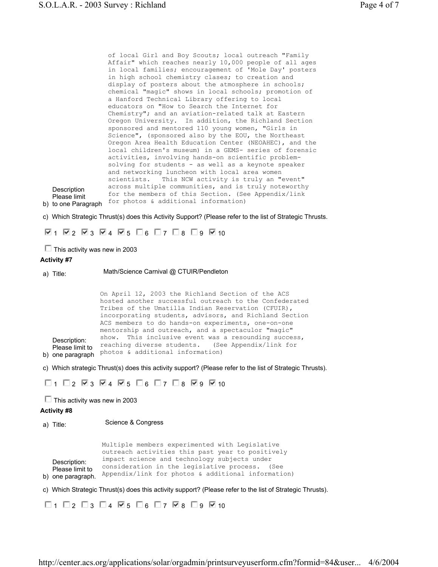b) to one Paragraph for photos & additional information) **Description** Please limit of local Girl and Boy Scouts; local outreach "Family Affair" which reaches nearly 10,000 people of all ages in local families; encouragement of 'Mole Day' posters in high school chemistry clases; to creation and display of posters about the atmosphere in schools; chemical "magic" shows in local schools; promotion of a Hanford Technical Library offering to local educators on "How to Search the Internet for Chemistry"; and an aviation-related talk at Eastern Oregon University. In addition, the Richland Section sponsored and mentored 110 young women, "Girls in Science", (sponsored also by the EOU, the Northeast Oregon Area Health Education Center (NEOAHEC), and the local children's museum) in a GEMS- series of forensic activities, involving hands-on scientific problemsolving for students - as well as a keynote speaker and networking luncheon with local area women scientists. This NCW activity is truly an "event" across multiple communities, and is truly noteworthy for the members of this Section. (See Appendix/link

c) Which Strategic Thrust(s) does this Activity Support? (Please refer to the list of Strategic Thrusts.

 $\nabla_1$   $\nabla_2$   $\nabla_3$   $\nabla_4$   $\nabla_5$   $\nabla_6$   $\nabla_7$   $\nabla_8$   $\nabla_9$   $\nabla_{10}$ 

 $\Box$  This activity was new in 2003

#### **Activity #7**

a) Title: Math/Science Carnival @ CTUIR/Pendleton

b) one paragraph photos & additional information) Description: **Please limit to** reaching diverse students. (See Appendix/link for On April 12, 2003 the Richland Section of the ACS hosted another successful outreach to the Confederated Tribes of the Umatilla Indian Reservation (CFUIR), incorporating students, advisors, and Richland Section ACS members to do hands-on experiments, one-on-one mentorship and outreach, and a spectaculor "magic" show. This inclusive event was a resounding success,

c) Which strategic Thrust(s) does this activity support? (Please refer to the list of Strategic Thrusts).

 $\Box$ 1  $\Box$ 2  $\boxtimes$ 3  $\boxtimes$ 4  $\boxtimes$ 5  $\Box$ 6  $\Box$ 7  $\Box$ 8  $\boxtimes$ 9  $\boxtimes$ 10

 $\Box$  This activity was new in 2003

#### **Activity #8**

a) Title: Science & Congress

|                                                      | Multiple members experimented with Legislative                                                                                                          |
|------------------------------------------------------|---------------------------------------------------------------------------------------------------------------------------------------------------------|
|                                                      | outreach activities this past year to positively                                                                                                        |
| Description:<br>Please limit to<br>b) one paragraph. | impact science and technology subjects under<br>consideration in the legislative process. (See<br>Appendix/link for photos $\&$ additional information) |

c) Which Strategic Thrust(s) does this activity support? (Please refer to the list of Strategic Thrusts).

 $\Box$  1  $\Box$  2  $\Box$  3  $\Box$  4  $\nabla$  5  $\Box$  6  $\Box$  7  $\nabla$  8  $\Box$  9  $\nabla$  10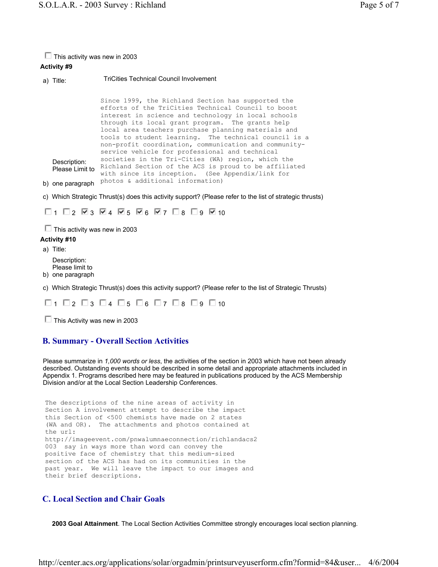#### $\Box$  This activity was new in 2003

### **Activity #9**

a) Title: TriCities Technical Council Involvement

**b) one paragraph** Photos & additional information) Description: Please Limit to Richland Section of the ACS is proud to be affiliated Since 1999, the Richland Section has supported the efforts of the TriCities Technical Council to boost interest in science and technology in local schools through its local grant program. The grants help local area teachers purchase planning materials and tools to student learning. The technical council is a non-profit coordination, communication and communityservice vehicle for professional and technical societies in the Tri-Cities (WA) region, which the with since its inception. (See Appendix/link for

c) Which Strategic Thrust(s) does this activity support? (Please refer to the list of strategic thrusts)

 $\Box$ 1  $\Box$ 2  $\Box$ 3  $\Box$ 4  $\Box$ 5  $\Box$ 6  $\Box$ 7  $\Box$ 8  $\Box$ 9  $\Box$ 10

 $\Box$  This activity was new in 2003

#### **Activity #10**

a) Title:

Description: Please limit to

- b) one paragraph
- c) Which Strategic Thrust(s) does this activity support? (Please refer to the list of Strategic Thrusts)

 $\Box$ 1  $\Box$ 2  $\Box$ 3  $\Box$ 4  $\Box$ 5  $\Box$ 6  $\Box$ 7  $\Box$ 8  $\Box$ 9  $\Box$ 10

 $\Box$  This Activity was new in 2003

## **B. Summary - Overall Section Activities**

Please summarize in *1,000 words or less*, the activities of the section in 2003 which have not been already described. Outstanding events should be described in some detail and appropriate attachments included in Appendix 1. Programs described here may be featured in publications produced by the ACS Membership Division and/or at the Local Section Leadership Conferences.

```
The descriptions of the nine areas of activity in 
Section A involvement attempt to describe the impact 
this Section of <500 chemists have made on 2 states 
(WA and OR). The attachments and photos contained at 
the url: 
http://imageevent.com/pnwalumnaeconnection/richlandacs2
003 say in ways more than word can convey the 
positive face of chemistry that this medium-sized 
section of the ACS has had on its communities in the 
past year. We will leave the impact to our images and 
their brief descriptions.
```
# **C. Local Section and Chair Goals**

**2003 Goal Attainment**. The Local Section Activities Committee strongly encourages local section planning.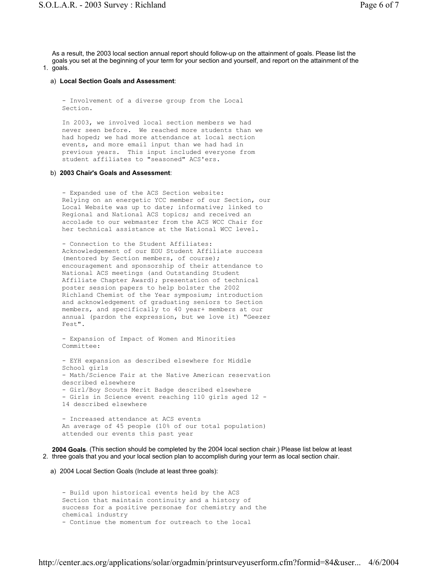1. goals. As a result, the 2003 local section annual report should follow-up on the attainment of goals. Please list the goals you set at the beginning of your term for your section and yourself, and report on the attainment of the

#### a) **Local Section Goals and Assessment**:

- Involvement of a diverse group from the Local Section.

In 2003, we involved local section members we had never seen before. We reached more students than we had hoped; we had more attendance at local section events, and more email input than we had had in previous years. This input included everyone from student affiliates to "seasoned" ACS'ers.

#### b) **2003 Chair's Goals and Assessment**:

- Expanded use of the ACS Section website: Relying on an energetic YCC member of our Section, our Local Website was up to date; informative; linked to Regional and National ACS topics; and received an accolade to our webmaster from the ACS WCC Chair for her technical assistance at the National WCC level.

- Connection to the Student Affiliates: Acknowledgement of our EOU Student Affiliate success (mentored by Section members, of course); encouragement and sponsorship of their attendance to National ACS meetings (and Outstanding Student Affiliate Chapter Award); presentation of technical poster session papers to help bolster the 2002 Richland Chemist of the Year symposium; introduction and acknowledgement of graduating seniors to Section members, and specifically to 40 year+ members at our annual (pardon the expression, but we love it) "Geezer Fest".

- Expansion of Impact of Women and Minorities Committee:

- EYH expansion as described elsewhere for Middle School girls - Math/Science Fair at the Native American reservation described elsewhere - Girl/Boy Scouts Merit Badge described elsewhere - Girls in Science event reaching 110 girls aged 12 - 14 described elsewhere - Increased attendance at ACS events

An average of 45 people (10% of our total population) attended our events this past year

2. three goals that you and your local section plan to accomplish during your term as local section chair. **2004 Goals**. (This section should be completed by the 2004 local section chair.) Please list below at least

a) 2004 Local Section Goals (Include at least three goals):

```
- Build upon historical events held by the ACS 
Section that maintain continuity and a history of 
success for a positive personae for chemistry and the 
chemical industry 
- Continue the momentum for outreach to the local
```